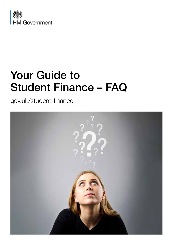

# Your Guide to Student Finance – FAQ

gov.uk/student-finance

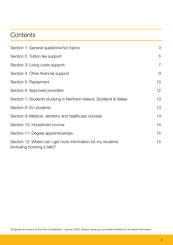# **Contents**

| Section 1: General questions/hot topics                                                     | 3               |
|---------------------------------------------------------------------------------------------|-----------------|
| Section 2: Tuition fee support                                                              | 5               |
| Section 3: Living costs support                                                             | $\overline{7}$  |
| Section 4: Other financial support                                                          | 9               |
| Section 5: Repayment                                                                        | 10 <sup>°</sup> |
| Section 6: Approved providers                                                               | 12 <sub>2</sub> |
| Section 7: Students studying in Northern Ireland, Scotland & Wales                          | 13              |
| Section 8: EU students                                                                      | 13              |
| Section 9: Medical, dentistry and healthcare courses                                        | 13              |
| Section 10: Household income                                                                | 14              |
| Section 11: Degree apprenticeships                                                          | 15              |
| Section 12: Where can I get more information for my students<br>(including booking a talk)? | 15              |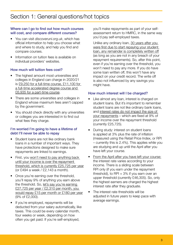#### Where can I go to find out how much courses will cost, and compare different courses?

- You can visit *discoveruni.org.uk*, which has official information to help you choose what and where to study, and help you find and compare courses.
- Information on tuition fees is available on individual providers' websites.

#### How much will tuition fees cost?

- The highest amount most universities and colleges in England can charge in 2020/21 is £9,250 for a full-time course, £11,100 for a full-time accelerated degree course and £6,935 for a part-time course.
- There are some universities and colleges in England whose maximum fees aren't capped by the government.
- You should check directly with any universities or colleges you are interested in to find out what fees they charge.

#### I'm worried I'm going to have a lifetime of debt I'll never be able to repay

- Student loans are not like ordinary bank loans in a number of important ways. They have protections designed to make sure repayments are linked to earnings.
- First, you won't need to pay anything back until your income is over the repayment threshold, which is currently £25,725 per year (or £494 a week / £2,143 a month).
- Once you're earning over the threshold, you'll repay 9% of anything you earn above the threshold. So, let's say you're earning £27,725 per year / £2,310 per month, you would repay £15 per month or £180 per year (9% of £2,000).
- If you're employed, repayments will be deducted from your salary automatically, like taxes. This could be every calendar month, four weeks or week, depending on how often you get paid. If you're self-employed,

you'll make repayments as part of your selfassessment return to HMRC, in the same way you'd pay self-employed taxes.

Unlike any ordinary loan, 30 years after you were first due to start repaying your student loan, any remainder is completely written off (as long as you are not in any breach of your repayment requirements). So, after this point, even if you're earning over the threshold, you won't need to pay any more. If you do have some loan written off, this won't have any impact on your credit record. The write off is also not influenced by any savings you might have.

#### How much interest will I be charged?

- Like almost any loan, interest is charged on student loans. But it's important to remember student loans are not like ordinary bank loans, and interest rates do not impact the size of your repayments – which are fixed at 9% of your income over the repayment threshold (currently £25,725).
- During study: interest on student loans is applied at 3% plus the rate of inflation (measured using the Retail Price Index, or RPI – currently this is 2.4%). This applies while you are studying and up until the April after you have left your course.
- From the April after you have left your course: the interest rate varies according to your income. There is a sliding scale between RPI only (if you earn under the repayment threshold), to RPI  $+3\%$  if you earn over an upper threshold (currently £46,305). So, only the highest earners are charged the highest interest rate after they graduate.
- The interest rate thresholds will be adjusted in future years to keep pace with average earnings.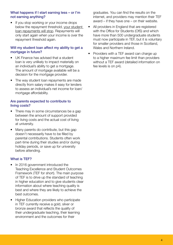# What happens if I start earning less – or I'm not earning anything?

• If you stop working or your income drops below the repayment threshold, your student loan repayments will stop. Repayments will only start again when your income is over the repayment threshold again.

# Will my student loan affect my ability to get a mortgage in future?

- UK Finance has advised that a student loan is very unlikely to impact materially on an individual's ability to get a mortgage. The amount of mortgage available will be a decision for the mortgage provider.
- The way student loan repayments are made directly from salary makes it easy for lenders to assess an individual's net income for loan/ mortgage affordability.

#### Are parents expected to contribute to living costs?

- There may in some circumstances be a gap between the amount of support provided for living costs and the actual cost of living at university.
- Many parents do contribute, but this gap doesn't necessarily have to be filled by parental contributions. Students often work part-time during their studies and/or during holiday periods, or save up for university before attending.

# What is TEF?

- In 2016 government introduced the Teaching Excellence and Student Outcomes Framework (TEF for short). The main purpose of TEF is to drive up the standard of teaching in higher education and to give students clear information about where teaching quality is best and where they are likely to achieve the best outcomes.
- Higher Education providers who participate in TEF currently receive a gold, silver or bronze award that reflects the quality of their undergraduate teaching, their learning environment and the outcomes for their

graduates. You can find the results on the internet, and providers may mention their TEF award – if they have one – on their website.

- All providers in England that are registered with the Office for Students (OfS) and which have more than 500 undergraduate students must now participate in TEF, but it is voluntary for smaller providers and those in Scotland, Wales and Northern Ireland.
- Providers with a TEF award can charge up to a higher maximum fee limit than providers without a TEF award (detailed information on fee levels is on p4).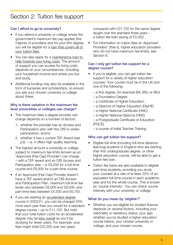# Can I afford to go to university?

- If you attend a university or college where the government's maximum fee cap applies (the majority of providers) and it's your first degree, you will be eligible for a loan that covers all of your tuition fees.
- You can also apply for a maintenance loan to help towards your living costs. The amount of support you can access for living costs depends on your circumstances, including your household income and where you live and study.
- Additional funding may also be available in the form of bursaries and scholarships, so ensure you ask your chosen university or college about these.

# Why is there variation in the maximum fee level universities or colleges can charge?

- The maximum fees a degree provider can charge depends on a number of factors:
	- 1. whether the provider has an Access and Participation plan with the OfS to widen participation; and/or
	- 2. whether it has a current TEF Award (see p3) – i.e. it offers high quality teaching.
- The highest amount a university or college subject to maximum fee limits (known as an 'Approved (Fee Cap) Provider') can charge – with a TEF award and an OfS Access and Participation plan – is £9,250 for a full-time course and £6,935 for a part-time course.
- If an Approved (Fee Cap) Provider doesn't have a TEF award and/or an OfS Access and Participation Plan, maximum full-time fee levels vary between £6,000 and £9,000, and part-time fees between £4,500 and £6,750.
- If you are starting an accelerated degree course in 2020/21, you can be charged 20% more each year than you would for a standard degree course – up to £11,100. But note that your total tuition costs for an accelerated degree may be less overall as you'll be studying for fewer years. For example, your fees might total £22,200 over two years,

compared with £27,750 for the same degree taught over the standard three years – a tuition fee loan saving of £5,550.

• For information on tuition fees at 'Approved Providers' (that is, higher education providers who do not have maximum fee limits), see Section 6.

# Can I only get tuition fee support for a degree course?

- If you're eligible, you can get tuition fee support for a variety of higher education courses. Your course must be in the UK and one of the following:
	- a first degree, for example BA, BSc or BEd
	- a Foundation Degree
	- a Certificate of Higher Education
	- a Diploma of Higher Education (DipHE)
	- a Higher National Certificate (HNC)
	- a Higher National Diploma (HND)
	- a Postgraduate Certificate of Education (PGCE)
	- a course of Initial Teacher Training

# Who can get tuition fee support?

- Eligible full-time (including full-time distance learning) students in England who are starting their first undergraduate degree, or other higher education course, will be able to get a tuition fee loan.
- Tuition fee loans are also available to eligible part-time students, providing you study your courses at a rate of at least 25% of an equivalent full-time course in each academic year and for the whole course. This is known as 'course intensity'. You can check course intensity with your university or college.

# What do you mean by 'eligible'?

• Whether you are eligible for student finance depends on several factors, including your nationality or residency status, your age, whether you've studied a higher education course before, your chosen university or college, and your chosen course.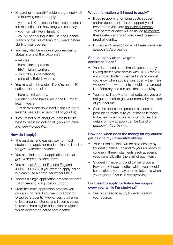• Regarding nationality/residency, generally, all the following need to apply:

– you're a UK national or have 'settled status' (no restrictions on how long you can stay);

– you normally live in England;

– you've been living in the UK, the Channel Islands or the Isle of Man for 3 years before starting your course.

- You may also be eligible if your residency status is one of the following<sup>1</sup>:
	- refugee;
	- humanitarian protection;
	- EEA migrant worker;
	- child of a Swiss national;
	- child of a Turkish worker.
- You may also be eligible if you're not a UK national and are either:
	- from an EU country;

– under 18 and have lived in the UK for at least 7 years;

– 18 or over and have lived in the UK for at least 20 years (or at least half of your life).

If you're not sure about your eligibility, it's best to begin by looking at *gov.uk/studentfinance/who-qualifies.*

# How do I apply?

- The quickest and easiest way for most students to apply for student finance is online via *gov.uk/student-finance*.
- You can find a paper application form at *gov.uk/student-finance-forms*.
- You can call Student Finance England (0300 100 0607) if you want to apply online but can't use a computer without help.
- There's a single application process for both tuition fee and living costs support.
- From this main application process you can also indicate if you want to apply for Disabled Students' Allowances, the range of Dependants' Grants and in some cases, bursaries from higher education providers which depend on household income.

# What information will I need to apply?

- If you're applying for living costs support and/or dependant-related support you'll need to provide your household income. Your parent or carer will be asked to confirm these details and you'll also need to send in proof of identity.
- For more information on all of these steps visit *gov.uk/student-finance*.

# Should I apply after I've got a confirmed place?

- You don't need a confirmed place to apply. By registering your details with UCAS for 2020 entry now, Student Finance England can let you know when applications open – the main window for new students should start around late February and run until the end of May.
- You can still apply after that date, but you are not guaranteed to get your money by the start of your course.
- Start the application process as soon as possible to make sure your finance is ready to be paid when you start your course. Full details of how to apply can be found on *gov.uk/student-finance*.

# How and when does the money for my course get paid to my university/college?

- Your tuition fee loan will be paid directly by Student Finance England to your university or college in three instalments each academic year, generally after the start of each term.
- Student Finance England will send you a Payment Schedule Letter, which you should keep safe as you may need to take this when you register at your university/college.

# Do I need to apply for tuition fee support every year while I'm studying?

• Yes, you need to apply for every year of your course.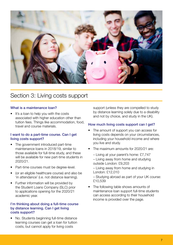

# Section 3: Living costs support

#### What is a maintenance loan?

It's a loan to help you with the costs associated with higher education other than tuition fees. Things like accommodation, food, travel and course materials.

#### I want to do a part-time course. Can I get living costs support?

- The government introduced part-time maintenance loans in 2018/19, similar to those available for full-time study, and these will be available for new part-time students in 2020/21.
- Part-time courses must be degree-level.
- (or an eligible healthcare course) and also be 'in attendance' (i.e. not distance learning).
- Further information will be provided by the Student Loans Company (SLC) prior to applications opening for the 2020/21 academic year.

#### I'm thinking about doing a full-time course by distance learning. Can I get living costs support?

• No. Students beginning full-time distance learning courses can get a loan for tuition costs, but cannot apply for living costs

support (unless they are compelled to study by distance learning solely due to a disability and not by choice, and study in the UK).

#### How much living costs support can I get?

- The amount of support you can access for living costs depends on your circumstances, including your household income and where you live and study.
- The maximum amounts for 2020/21 are:
	- Living at your parent's home: £7,747
	- Living away from home and studying outside London: £9,203
	- Living away from home and studying in London: £12,010
	- Studying abroad as part of your UK course: £10,539
- The following table shows amounts of maintenance loan support full-time students can access according to their household income is provided over the page.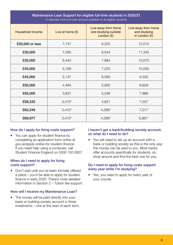| Maintenance Loan Support for eligible full-time students in 2020/21<br>(*) denotes minimum loan amount available to all eligible students |                    |                                                             |                                                      |  |
|-------------------------------------------------------------------------------------------------------------------------------------------|--------------------|-------------------------------------------------------------|------------------------------------------------------|--|
| <b>Household Income</b>                                                                                                                   | Live at home $(E)$ | Live away from home<br>and studying outside<br>London $(E)$ | Live away from home<br>and studying<br>in London (£) |  |
| £25,000 or less                                                                                                                           | 7,747              | 9,203                                                       | 12,010                                               |  |
| £30,000                                                                                                                                   | 7,095              | 8,544                                                       | 11,340                                               |  |
| £35,000                                                                                                                                   | 6,442              | 7,884                                                       | 10,670                                               |  |
| £40,000                                                                                                                                   | 5,789              | 7,225                                                       | 10,000                                               |  |
| £45,000                                                                                                                                   | 5,137              | 6,565                                                       | 9,330                                                |  |
| £50,000                                                                                                                                   | 4,484              | 5,905                                                       | 8,659                                                |  |
| £55,000                                                                                                                                   | 3,831              | 5,246                                                       | 7,989                                                |  |
| £58,222                                                                                                                                   | $3,410*$           | 4,821                                                       | 7,557                                                |  |
| £62,249                                                                                                                                   | $3,410*$           | 4,289*                                                      | 7,017                                                |  |
| £69,977                                                                                                                                   | $3,410*$           | 4,289*                                                      | $5,981*$                                             |  |

# How do I apply for living costs support?

• You can apply for student finance by completing an application form online at *gov.uk/apply-online-for-student-finance*. If you need help using a computer, call Student Finance England on 0300 100 0607.

#### When do I need to apply for living costs support?

• Don't wait until you've been formally offered a place – you'll be able to apply for student finance in early 2020. There's more detailed information in Section 2 – Tuition fee support.

# How will I receive my Maintenance Loan?

• The money will be paid directly into your bank or building society account in three instalments – one at the start of each term.

# I haven't got a bank/building society account, so what do I need to do?

• You will need to set up an account with a bank or building society as this is the only way the money can be paid to you. Most banks offer accounts specifically for students, so shop around and find the best one for you.

#### Do I need to apply for living costs support every year while I'm studying?

• Yes, you need to apply for every year of your course.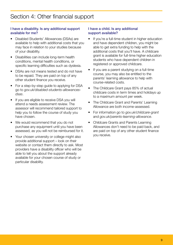# I have a disability. Is any additional support available for me?

- Disabled Students' Allowances (DSAs) are available to help with additional costs that you may face in relation to your studies because of your disability.
- Disabilities can include long-term health conditions, mental health conditions, or specific learning difficulties such as dyslexia.
- DSAs are not means tested and do not have to be repaid. They are paid on top of any other student finance you receive.
- For a step-by-step guide to applying for DSA go to *gov.uk/disabled-students-allowancesdsas*.
- If you are eligible to receive DSA you will attend a needs assessment review. The assessor will recommend tailored support to help you to follow the course of study you have chosen.
- We would recommend that you do not purchase any equipment until you have been assessed, as you will not be reimbursed for it.
- Your chosen university or college might also provide additional support – look on their website or contact them directly to ask. Most providers have a disability officer who will be able to tell you about the support already available for your chosen course of study or particular disability.

#### I have a child. Is any additional support available?

- If you're a full-time student in higher education and have dependent children, you might be able to get extra funding to help with the additional costs that you'll have. A childcare grant is available for full-time higher education students who have dependent children in registered or approved childcare.
- If you are a parent studying on a full-time course, you may also be entitled to the parents' learning allowance to help with course-related costs.
- The Childcare Grant pays 85% of actual childcare costs in term times and holidays up to a maximum amount per week.
- The Childcare Grant and Parents' Learning Allowance are both income-assessed.
- For information go to *gov.uk/childcare-grant* and *gov.uk/parents-learning-allowance*.
- Childcare Grants and Parents Learning Allowances don't need to be paid back, and are paid on top of any other student finance you receive.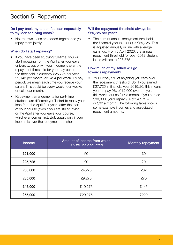# Do I pay back my tuition fee loan separately to my loan for living costs?

• No, the two loans are added together so you repay them jointly.

# When do I start repaying?

- If you have been studying full-time, you will start repaying from the April after you leave university, but only if your income is over the repayment threshold for your pay period – the threshold is currently £25,725 per year, £2,143 per month, or £494 per week. By pay period, we mean each time you receive your salary. This could be every week, four weeks or calendar month.
- Repayment arrangements for part-time students are different: you'll start to repay your loan from the April four years after the start of your course (even if you are still studying) or the April after you leave your course, whichever comes first. But, again, only if your income is over the repayment threshold.

# Will the repayment threshold always be £25,725 per year?

The current annual repayment threshold (for financial year 2019-20) is £25,725. This is adjusted annually in line with average earnings. From 6 April 2020, the annual repayment threshold for post-2012 student loans will rise to £26,575.

#### How much of my salary will go towards repayment?

• You'll repay 9% of anything you earn over the repayment threshold. So, if you earned £27,725 in financial year 2019/20, this means you'd repay 9% of £2,000 over the year – this works out as £15 a month. If you earned £30,000, you'll repay 9% of £4,275 – or £32 a month. The following table shows some example incomes and associated repayment amounts.

| <b>Income</b> | Amount of income from which<br>9% will be deducted | <b>Monthly repayment</b> |
|---------------|----------------------------------------------------|--------------------------|
| £21,000       | £0                                                 | £0                       |
| £25,725       | £0                                                 | £O                       |
| £30,000       | £4,275                                             | £32                      |
| £35,000       | £9,275                                             | £70                      |
| £45,000       | £19,275                                            | £145                     |
| £55,000       | £29,275                                            | £220                     |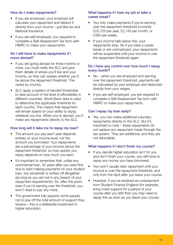# How do I make repayments?

- If you are employed, your employer will calculate your repayment and deduct it directly from your income – just like tax and National Insurance.
- If you are self-employed, you required to complete a Self-Assessment Tax form with HMRC to make your repayments.

# Do I still have to make repayments if I move abroad?

- If you are going abroad for three months or more, you must notify the SLC and give them details of where you'll live and your income, so they can assess whether you'll be above the repayment threshold. This varies by country.
- SLC apply a system of banded thresholds to take account of the level of affordability in different countries. World Bank data is used to determine the applicable threshold for each country. This means that repayment will remain based on your ability to repay, wherever you live. When you're abroad, you'll make any repayments directly to the SLC.

# How long will it take me to repay my loan?

- The amount you pay each year depends entirely on your income level, not the amount you borrowed. Your repayments are a percentage of your income above the repayment threshold, so how quickly you repay depends on how much you earn.
- It's important to remember that, unlike any commercial loan, 30 years after you were first due to start making payments on your student loan, any remainder is written off altogether (as long as you are not in any breach of your repayment requirements). So, after this point, even if you're earning over the threshold, you won't need to pay any more.
- The government fully expects some people not to pay off the total amount of support they receive – this is a deliberate investment in higher education.

#### What happens if I lose my job or take a career break?

- You only make payments if you're earning over the repayment threshold (currently £25,725 per year, £2,143 per month, or £494 per week).
- If your income falls below this, your repayments stop. So if you take a career break or are unemployed, your repayments will be suspended until your income is over the repayment threshold again.

#### Do I have any control over how much I repay every month?

- No when you are employed and earning over the repayment threshold, payments will be calculated by your employer and deducted directly from your wages.
- If you are self-employed, you are required to complete a Self-Assessment Tax form with HMRC to make your repayments.

#### Can I repay my loan early?

• Yes, you can make additional voluntary repayments directly to the SLC. But it's important to note – these repayments do not replace any repayment made through the tax system. They are additional, and they are not refundable.

#### What happens if I don't finish my course?

- If you decide higher education isn't for you and don't finish your course, you still have to repay any money you have borrowed.
- You won't usually start repayment until your income is over the repayment threshold, and only from the April after you leave your course.
- However, if you've received an overpayment from Student Finance England (for example, living costs support for a period of your course after you left) then you may need to repay this as soon as you leave your course.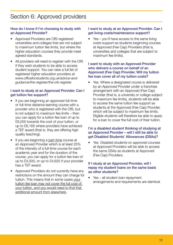#### How do I know if I'm choosing to study with an Approved Provider?

- Approved Providers are OfS-registered universities and colleges that are not subject to maximum tuition fee limits, but where the higher education courses they provide meet agreed standards.
- All providers will need to register with the OfS if they wish students to be able to access student support. You can view a full list of registered higher education providers at *www.officeforstudents.org.uk/advice-andguidance/the-register/the-ofs-register.*

# I want to study at an Approved Provider. Can I get tuition fee support?

- If you are beginning an approved full-time or full-time distance learning course with a provider who is registered with the OfS, but is not subject to maximum fee limits – then you can apply for a tuition fee loan of up to £6,000 towards the cost of your tuition, or up to £6,165 where providers have achieved a TEF award (that is, they are offering high quality teaching).
- If you are beginning a part-time course at an Approved Provider which is at least 25% of the intensity of a full-time course for each academic year and for the duration of the course, you can apply for a tuition fee loan of up to £4,500, or up to £4,625 if your provider has a TEF award.
- Approved Providers do not currently have any restrictions on the amount they can charge for tuition. This means that in some cases your tuition fee loan may not cover the full cost of your tuition, and you would need to find that additional amount from elsewhere.

#### I want to study at an Approved Provider. Can I get living costs/maintenance support?

Yes – you'll have access to the same living costs support as students beginning courses at Approved (Fee Cap) Providers (that is, universities and colleges that are subject to maximum fee limits).

#### I want to study with an Approved Provider who delivers a course on behalf of an Approved (Fee Cap) Provider. Will my tuition fee loan cover all of my tuition costs?

Yes. Where a designated course is delivered by an Approved Provider under a franchise arrangement with an Approved (Fee Cap) Provider (that is, a university or college subject to maximum fee limits), students will be able to access the same tuition fee support as students at the Approved (Fee Cap) Provider, which will be subject to maximum fee limits. Eligible students will therefore be able to apply for a loan to cover the full cost of their tuition.

#### I'm a disabled student thinking of studying at an Approved Provider – will I still be able to get Disabled Students' Allowances (DSAs)?

Yes. Disabled students on approved courses at Approved Providers will be able to access the same DSAs as students at Approved (Fee Cap) Providers.

#### If I study at an Approved Provider, will I repay my student loans on the same basis as other students?

• Yes – all student loan repayment arrangements and requirements are identical.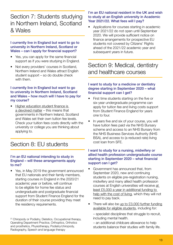# Section 7: Students studying in Northern Ireland, Scotland & Wales

#### I currently live in England but want to go to university in Northern Ireland, Scotland or Wales – can I apply for financial support?

- Yes, you can apply for the same financial support as if you were studying in England.
- Not every providers' courses in Scotland, Northern Ireland and Wales attract English student support – so do double check with them.

#### I currently live in England but want to go to university in Northern Ireland, Scotland and Wales – how much will I have to pay for my course?

• Higher education student finance is a devolved matter – this means that governments in Northern Ireland, Scotland and Wales set their own tuition fee levels. Check your tuition fees costs directly with the university or college you are thinking about applying to.

# Section 8: EU students

#### I'm an EU national intending to study in England – will these arrangements apply to me?

• Yes, in May 2019 the government announced that EU nationals and their family members, starting courses in England in the 2020/21 academic year or before, will continue to be eligible for home fee status and undergraduate and postgraduate financial support from Student Finance England for the duration of their course providing they meet the residency requirements.

[1] Chiropody or Podiatry, Dietetics, Occupational therapy, Operating Department Practice, Orthoptics, Orthotics and prosthetics, Physiotherapy, Podiatry/chiropody, Radiography, Speech and language therapy

#### I'm an EU national resident in the UK and wish to study at an English university in Academic Year 2021/22. What fees will I pay?

• Applications for courses starting in academic year 2021/22 do not open until September 2020. We will provide sufficient notice on finance arrangements for prospective EU students not covered by Citizens' Rights ahead of the 2021/22 academic year and subsequent years in future.

Section 9: Medical, dentistry and healthcare courses

#### I want to study for a medicine or dentistry degree starting in September 2020 – what financial support can I get?

- First time students starting on the five or six-year undergraduate programme can apply for tuition fee and living costs support from Student Finance England for years one to four.
- In years five and six of your course, you will have tuition fees paid via the NHS Bursary scheme and access to an NHS Bursary from the NHS Business Services Authority (NHS BSA), and access to (a reduced rate) living cost loan from SFE.

#### I want to study for a nursing, midwifery or allied health profession undergraduate course starting in September 2020 – what financial support can I get?

- Government has announced that, from September 2020, new and continuing students on eligible pre-registration nursing, midwifery and many allied health profession courses at English universities will receive at least £5,000 a year in additional funding to help with the cost of living, which they will not need to pay back.
- There will also be up to  $£3,000$  further funding available for eligible students, including for:

– specialist disciplines that struggle to recruit, including mental health.

– an additional childcare allowance to help students balance their studies with family life.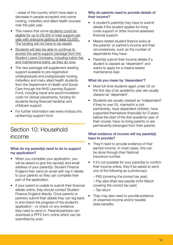– areas of the country which have seen a decrease in people accepted onto some nursing, midwifery and allied health courses over the past year.

- This means that some students could be eligible for up to £8,000 in total support per year with everyone getting at least £5,000. The funding will not have to be repaid.
- Students will also be able to continue to access the same support package from the Student Loans Company, including tuition fee and maintenance loans, as they do now.
- The new package will supplement existing support available to pre-registration undergraduate and postgraduate nursing, midwifery and many allied health students from the Department of Health and Social Care through the NHS Learning Support Fund, including travel and accommodation costs for clinical placements, funding for students facing financial hardship and childcare support.
- For further information see *www.nhsbsa.nhs. uk/learning-support-fund*.

# Section 10: Household income

#### What do my parent(s) need to do to support my application?

- When you complete your application, you will be asked to give the name(s) and email address of your parent(s). Student Finance England then send an email with log in details to your parents so they can complete their part of the application.
- If your parent is unable to submit their financial details online, they should contact Student Finance England directly. Once parents or partners submit their details they can log back in and check the progress of the student's application – or check on any evidence they need to send in. Parents/partners can download a PFF2 form online which can be submitted by post.

#### Why do parents need to provide details of their income?

- A student's parent(s) may have to submit details if the student applies for living costs support or other income-assessed financial support.
- Means-tested student finance looks at the parents' or partner's income and their circumstances, such as the number of dependents they have.
- Parent(s) submit their income details if a student is classed as 'dependent' and wants to apply for a means-tested maintenance loan.

# What do you mean by 'dependent'?

- Most full-time students aged under 25 on the first day of an academic year are usually classed as 'dependent'.
- Students are usually classed as 'independent' if they're over 25, married/in a civil partnership, have dependent children, have supported themselves financially for 3 years before the start of the first academic year of their course, have no living parents or are permanently estranged from their parents.

# What evidence of income will my parent(s) have to provide?

- They'll need to provide evidence of their earned income. In most cases, this can be done through their National Insurance number.
- If it's not possible for your parent(s) to confirm their income online, they'll be asked to send one of the following as a photocopy:
	- P60 (covering the correct tax year)
	- Pay slips (their last payslip in/for March covering the correct tax year)
	- Tax return
- They may also need to provide evidence of unearned income and/or taxable state benefits.